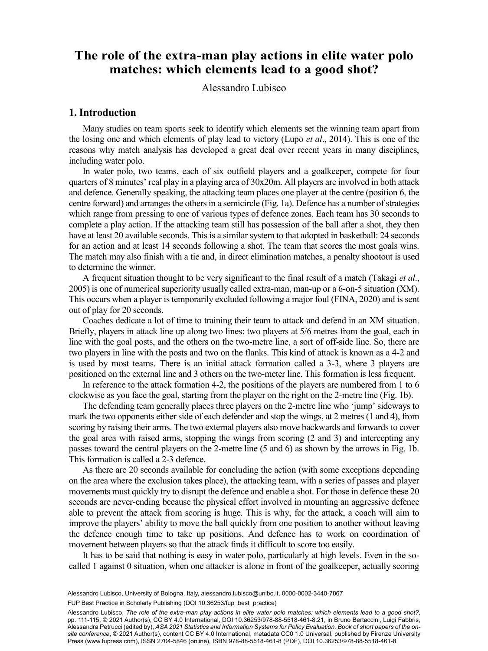# The role of the extra-man play actions in elite water polo  $\frac{1}{2}$ **matches: which elements lead to a good shot?**

Alessandro Lubisco

## **1. Introduction**

Many studies on team sports seek to identify which elements set the winning team apart from the losing one and which elements of play lead to victory (Lupo *et al*., 2014). This is one of the reasons why match analysis has developed a great deal over recent years in many disciplines, including water polo.

In water polo, two teams, each of six outfield players and a goalkeeper, compete for four quarters of 8 minutes' real play in a playing area of 30x20m. All players are involved in both attack and defence. Generally speaking, the attacking team places one player at the centre (position 6, the centre forward) and arranges the others in a semicircle (Fig. 1a). Defence has a number of strategies which range from pressing to one of various types of defence zones. Each team has 30 seconds to complete a play action. If the attacking team still has possession of the ball after a shot, they then have at least 20 available seconds. This is a similar system to that adopted in basketball: 24 seconds for an action and at least 14 seconds following a shot. The team that scores the most goals wins. The match may also finish with a tie and, in direct elimination matches, a penalty shootout is used to determine the winner.

A frequent situation thought to be very significant to the final result of a match (Takagi *et al*., 2005) is one of numerical superiority usually called extra-man, man-up or a 6-on-5 situation (XM). This occurs when a player is temporarily excluded following a major foul (FINA, 2020) and is sent out of play for 20 seconds.

Coaches dedicate a lot of time to training their team to attack and defend in an XM situation. Briefly, players in attack line up along two lines: two players at 5/6 metres from the goal, each in line with the goal posts, and the others on the two-metre line, a sort of off-side line. So, there are two players in line with the posts and two on the flanks. This kind of attack is known as a 4-2 and is used by most teams. There is an initial attack formation called a 3-3, where 3 players are positioned on the external line and 3 others on the two-meter line. This formation is less frequent.

In reference to the attack formation 4-2, the positions of the players are numbered from 1 to 6 clockwise as you face the goal, starting from the player on the right on the 2-metre line (Fig. 1b).

The defending team generally places three players on the 2-metre line who 'jump' sideways to mark the two opponents either side of each defender and stop the wings, at 2 metres (1 and 4), from scoring by raising their arms. The two external players also move backwards and forwards to cover the goal area with raised arms, stopping the wings from scoring (2 and 3) and intercepting any passes toward the central players on the 2-metre line (5 and 6) as shown by the arrows in Fig. 1b. This formation is called a 2-3 defence.

As there are 20 seconds available for concluding the action (with some exceptions depending on the area where the exclusion takes place), the attacking team, with a series of passes and player movements must quickly try to disrupt the defence and enable a shot. For those in defence these 20 seconds are never-ending because the physical effort involved in mounting an aggressive defence able to prevent the attack from scoring is huge. This is why, for the attack, a coach will aim to improve the players' ability to move the ball quickly from one position to another without leaving the defence enough time to take up positions. And defence has to work on coordination of movement between players so that the attack finds it difficult to score too easily.

It has to be said that nothing is easy in water polo, particularly at high levels. Even in the socalled 1 against 0 situation, when one attacker is alone in front of the goalkeeper, actually scoring

99 FUP Best Practice in Scholarly Publishing (DOI [10.36253/fup\\_best\\_practice](https://doi.org/10.36253/fup_best_practice)) Alessandro Lubisco, University of Bologna, Italy, [alessandro.lubisco@unibo.it](mailto:alessandro.lubisco@unibo.it), [0000-0002-3440-7867](https://orcid.org/0000-0002-3440-7867)

Alessandro Lubisco, *The role of the extra-man play actions in elite water polo matches: which elements lead to a good shot?*, pp. 111-115, © 2021 Author(s), [CC BY 4.0 International,](http://creativecommons.org/licenses/by/4.0/legalcode) DOI [10.36253/978-88-5518-461-8.21,](https://doi.org/10.36253/978-88-5518-461-8.21) in Bruno Bertaccini, Luigi Fabbris, Alessandra Petrucci (edited by), *ASA 2021 Statistics and Information Systems for Policy Evaluation. Book of short papers of the onsite conference*, © 2021 Author(s), content [CC BY 4.0 International](http://creativecommons.org/licenses/by/4.0/legalcode), metadata [CC0 1.0 Universal](https://creativecommons.org/publicdomain/zero/1.0/legalcode), published by Firenze University Press ([www.fupress.com\)](http://www.fupress.com), ISSN 2704-5846 (online), ISBN 978-88-5518-461-8 (PDF), DOI [10.36253/978-88-5518-461-8](https://doi.org/10.36253/978-88-5518-461-8)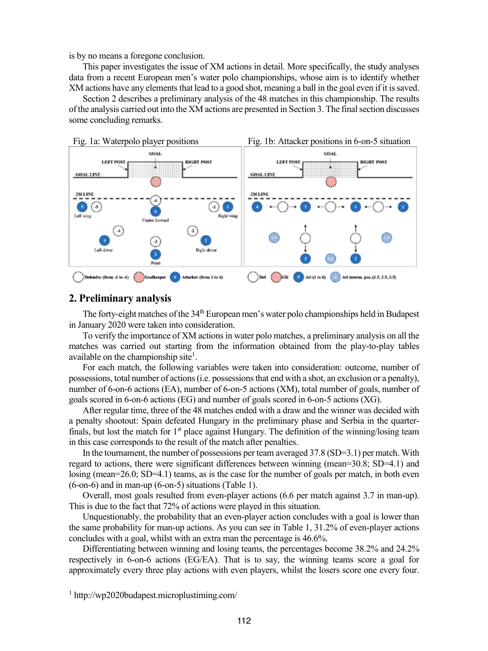is by no means a foregone conclusion.

This paper investigates the issue of XM actions in detail. More specifically, the study analyses data from a recent European men's water polo championships, whose aim is to identify whether XM actions have any elements that lead to a good shot, meaning a ball in the goal even if it is saved.

Section 2 describes a preliminary analysis of the 48 matches in this championship. The results of the analysis carried out into the XM actions are presented in Section 3. The finalsection discusses some concluding remarks.



#### **2. Preliminary analysis**

The forty-eight matches of the 34<sup>th</sup> European men's water polo championships held in Budapest in January 2020 were taken into consideration.

To verify the importance of XM actions in water polo matches, a preliminary analysis on all the matches was carried out starting from the information obtained from the play-to-play tables available on the championship site<sup>1</sup>.

For each match, the following variables were taken into consideration: outcome, number of possessions, total number of actions (i.e. possessions that end with a shot, an exclusion or a penalty), number of 6-on-6 actions (EA), number of 6-on-5 actions (XM), total number of goals, number of goals scored in 6-on-6 actions (EG) and number of goals scored in 6-on-5 actions (XG).

After regular time, three of the 48 matches ended with a draw and the winner was decided with a penalty shootout: Spain defeated Hungary in the preliminary phase and Serbia in the quarterfinals, but lost the match for  $1<sup>st</sup>$  place against Hungary. The definition of the winning/losing team in this case corresponds to the result of the match after penalties.

In the tournament, the number of possessions per team averaged 37.8 (SD=3.1) per match. With regard to actions, there were significant differences between winning (mean=30.8; SD=4.1) and losing (mean=26.0; SD=4.1) teams, as is the case for the number of goals per match, in both even (6-on-6) and in man-up (6-on-5) situations (Table 1).

Overall, most goals resulted from even-player actions (6.6 per match against 3.7 in man-up). This is due to the fact that 72% of actions were played in this situation.

Unquestionably, the probability that an even-player action concludes with a goal is lower than the same probability for man-up actions. As you can see in Table 1, 31.2% of even-player actions concludes with a goal, whilst with an extra man the percentage is 46.6%.

Differentiating between winning and losing teams, the percentages become 38.2% and 24.2% respectively in 6-on-6 actions (EG/EA). That is to say, the winning teams score a goal for approximately every three play actions with even players, whilst the losers score one every four.

<sup>1</sup> http://wp2020budapest.microplustiming.com/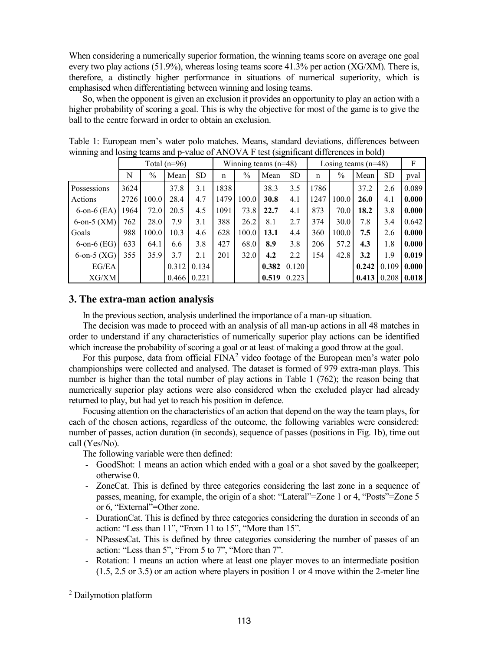When considering a numerically superior formation, the winning teams score on average one goal every two play actions  $(51.9%)$ , whereas losing teams score 41.3% per action (XG/XM). There is, therefore, a distinctly higher performance in situations of numerical superiority, which is emphasised when differentiating between winning and losing teams.

So, when the opponent is given an exclusion it provides an opportunity to play an action with a higher probability of scoring a goal. This is why the objective for most of the game is to give the ball to the centre forward in order to obtain an exclusion.

| ັ                 | Total $(n=96)$ |       |       |           | Winning teams $(n=48)$ |               |       |           | Losing teams $(n=48)$ |               |       |           | F     |
|-------------------|----------------|-------|-------|-----------|------------------------|---------------|-------|-----------|-----------------------|---------------|-------|-----------|-------|
|                   | N              | $\%$  | Mean  | <b>SD</b> | $\mathbf n$            | $\frac{0}{0}$ | Mean  | <b>SD</b> | $\mathbf n$           | $\frac{0}{0}$ | Mean  | <b>SD</b> | pval  |
| Possessions       | 3624           |       | 37.8  | 3.1       | 1838                   |               | 38.3  | 3.5       | 1786                  |               | 37.2  | 2.6       | 0.089 |
| Actions           | 2726           | 100.0 | 28.4  | 4.7       | 1479                   | 100.0         | 30.8  | 4.1       | 1247                  | 100.0         | 26.0  | 4.1       | 0.000 |
| $6$ -on- $6$ (EA) | 1964           | 72.0  | 20.5  | 4.5       | 1091                   | 73.8          | 22.7  | 4.1       | 873                   | 70.0          | 18.2  | 3.8       | 0.000 |
| 6-on-5 $(XM)$     | 762            | 28.0  | 7.9   | 3.1       | 388                    | 26.2          | 8.1   | 2.7       | 374                   | 30.0          | 7.8   | 3.4       | 0.642 |
| Goals             | 988            | 100.0 | 10.3  | 4.6       | 628                    | 100.0         | 13.1  | 4.4       | 360                   | 100.0         | 7.5   | 2.6       | 0.000 |
| $6$ -on- $6$ (EG) | 633            | 64.1  | 6.6   | 3.8       | 427                    | 68.0          | 8.9   | 3.8       | 206                   | 57.2          | 4.3   | 1.8       | 0.000 |
| 6-on-5 $(XG)$     | 355            | 35.9  | 3.7   | 2.1       | 201                    | 32.0          | 4.2   | 2.2       | 154                   | 42.8          | 3.2   | 1.9       | 0.019 |
| EG/EA             |                |       | 0.312 | 0.134     |                        |               | 0.382 | 0.120     |                       |               | 0.242 | 0.109     | 0.000 |
| XG/XM             |                |       | 0.466 | 0.221     |                        |               | 0.519 | 0.223     |                       |               | 0.413 | 0.208     | 0.018 |

Table 1: European men's water polo matches. Means, standard deviations, differences between winning and losing teams and p-value of ANOVA F test (significant differences in bold)

## **3. The extra-man action analysis**

In the previous section, analysis underlined the importance of a man-up situation.

The decision was made to proceed with an analysis of all man-up actions in all 48 matches in order to understand if any characteristics of numerically superior play actions can be identified which increase the probability of scoring a goal or at least of making a good throw at the goal.

For this purpose, data from official  $FINA<sup>2</sup>$  video footage of the European men's water polo championships were collected and analysed. The dataset is formed of 979 extra-man plays. This number is higher than the total number of play actions in Table 1 (762); the reason being that numerically superior play actions were also considered when the excluded player had already returned to play, but had yet to reach his position in defence.

Focusing attention on the characteristics of an action that depend on the way the team plays, for each of the chosen actions, regardless of the outcome, the following variables were considered: number of passes, action duration (in seconds), sequence of passes (positions in Fig. 1b), time out call (Yes/No).

The following variable were then defined:

- GoodShot: 1 means an action which ended with a goal or a shot saved by the goalkeeper; otherwise 0.
- ZoneCat. This is defined by three categories considering the last zone in a sequence of passes, meaning, for example, the origin of a shot: "Lateral"=Zone 1 or 4, "Posts"=Zone 5 or 6, "External"=Other zone.
- DurationCat. This is defined by three categories considering the duration in seconds of an action: "Less than 11", "From 11 to 15", "More than 15".
- NPassesCat. This is defined by three categories considering the number of passes of an action: "Less than 5", "From 5 to 7", "More than 7".
- Rotation: 1 means an action where at least one player moves to an intermediate position (1.5, 2.5 or 3.5) or an action where players in position 1 or 4 move within the 2-meter line

<sup>2</sup> Dailymotion platform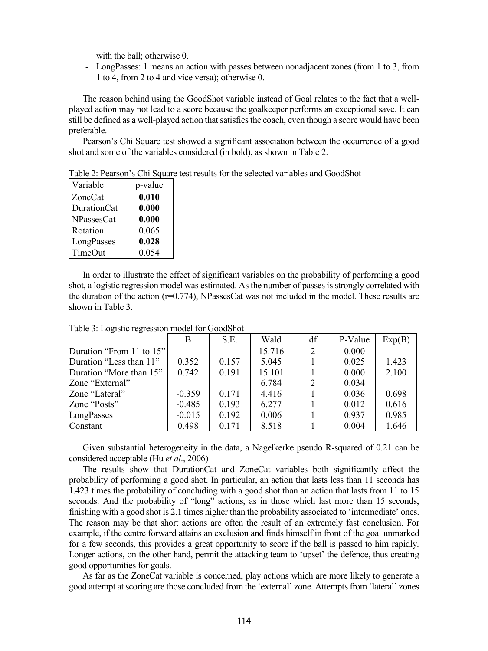with the ball; otherwise 0.

- LongPasses: 1 means an action with passes between nonadjacent zones (from 1 to 3, from 1 to 4, from 2 to 4 and vice versa); otherwise 0.

The reason behind using the GoodShot variable instead of Goal relates to the fact that a wellplayed action may not lead to a score because the goalkeeper performs an exceptional save. It can still be defined as a well-played action that satisfies the coach, even though a score would have been preferable.

Pearson's Chi Square test showed a significant association between the occurrence of a good shot and some of the variables considered (in bold), as shown in Table 2.

| Variable          | p-value |
|-------------------|---------|
| ZoneCat           | 0.010   |
| DurationCat       | 0.000   |
| <b>NPassesCat</b> | 0.000   |
| Rotation          | 0.065   |
| LongPasses        | 0.028   |
| TimeOut           | 0.054   |

Table 2: Pearson's Chi Square test results for the selected variables and GoodShot

In order to illustrate the effect of significant variables on the probability of performing a good shot, a logistic regression model was estimated. As the number of passes is strongly correlated with the duration of the action (r=0.774), NPassesCat was not included in the model. These results are shown in Table 3.

|                          | B        | S.E.  | Wald   | df             | P-Value | Exp(B) |
|--------------------------|----------|-------|--------|----------------|---------|--------|
| Duration "From 11 to 15" |          |       | 15.716 | 2              | 0.000   |        |
| Duration "Less than 11"  | 0.352    | 0.157 | 5.045  |                | 0.025   | 1.423  |
| Duration "More than 15"  | 0.742    | 0.191 | 15.101 |                | 0.000   | 2.100  |
| Zone "External"          |          |       | 6.784  | $\overline{2}$ | 0.034   |        |
| Zone "Lateral"           | $-0.359$ | 0.171 | 4.416  |                | 0.036   | 0.698  |
| Zone "Posts"             | $-0.485$ | 0.193 | 6.277  |                | 0.012   | 0.616  |
| LongPasses               | $-0.015$ | 0.192 | 0,006  |                | 0.937   | 0.985  |
| Constant                 | 0.498    | 0.171 | 8.518  |                | 0.004   | 1.646  |

Table 3: Logistic regression model for GoodShot

Given substantial heterogeneity in the data, a Nagelkerke pseudo R-squared of 0.21 can be considered acceptable (Hu *et al*., 2006)

The results show that DurationCat and ZoneCat variables both significantly affect the probability of performing a good shot. In particular, an action that lasts less than 11 seconds has 1.423 times the probability of concluding with a good shot than an action that lasts from 11 to 15 seconds. And the probability of "long" actions, as in those which last more than 15 seconds, finishing with a good shot is 2.1 times higher than the probability associated to 'intermediate' ones. The reason may be that short actions are often the result of an extremely fast conclusion. For example, if the centre forward attains an exclusion and finds himself in front of the goal unmarked for a few seconds, this provides a great opportunity to score if the ball is passed to him rapidly. Longer actions, on the other hand, permit the attacking team to 'upset' the defence, thus creating good opportunities for goals.

As far as the ZoneCat variable is concerned, play actions which are more likely to generate a good attempt at scoring are those concluded from the 'external' zone. Attempts from 'lateral' zones